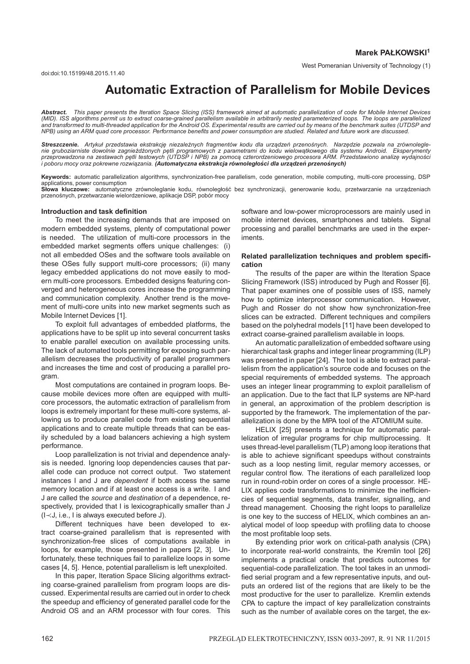# **Automatic Extraction of Parallelism for Mobile Devices**

*Abstract. This paper presents the Iteration Space Slicing (ISS) framework aimed at automatic parallelization of code for Mobile Internet Devices (MID). ISS algorithms permit us to extract coarse-grained parallelism available in arbitrarily nested parameterized loops. The loops are parallelized and transformed to multi-threaded application for the Android OS. Experimental results are carried out by means of the benchmark suites (UTDSP and NPB) using an ARM quad core processor. Performance benefits and power consumption are studied. Related and future work are discussed.*

Streszczenie. Artykuł przedstawia ekstrakcję niezależnych fragmentów kodu dla urządzeń przenośnych. Narzędzie pozwala na zrównolegle*nie gruboziarniste dowolnie zagniezd˙ zonych p ˙ etli programowych z parametrami do kodu wielow ˛ atkowego dla systemu Android. Eksperymenty ˛* przeprowadzona na zestawach pętli testowych (UTDSP i NPB) za pomocą czterordzeniowego procesora ARM. Przedstawiono analizę wydajności *i poboru mocy oraz pokrewne rozwiazania. ˛ (Automatyczna ekstrakcja równoległosci dla urz ´ adze ˛ n przeno ´ snych) ´*

**Keywords:** automatic parallelization algorithms, synchronization-free parallelism, code generation, mobile computing, multi-core processing, DSP applications, power consumption

Słowa kluczowe: automatyczne zrównoleglanie kodu, równoległość bez synchronizacji, generowanie kodu, przetwarzanie na urządzeniach przenosnych, przetwarzanie wielordzeniowe, aplikacje DSP, pobór mocy ´

### **Introduction and task definition**

To meet the increasing demands that are imposed on modern embedded systems, plenty of computational power is needed. The utilization of multi-core processors in the embedded market segments offers unique challenges: (i) not all embedded OSes and the software tools available on these OSes fully support multi-core processors; (ii) many legacy embedded applications do not move easily to modern multi-core processors. Embedded designs featuring converged and heterogeneous cores increase the programming and communication complexity. Another trend is the movement of multi-core units into new market segments such as Mobile Internet Devices [1].

To exploit full advantages of embedded platforms, the applications have to be split up into several concurrent tasks to enable parallel execution on available processing units. The lack of automated tools permitting for exposing such parallelism decreases the productivity of parallel programmers and increases the time and cost of producing a parallel program.

Most computations are contained in program loops. Because mobile devices more often are equipped with multicore processors, the automatic extraction of parallelism from loops is extremely important for these multi-core systems, allowing us to produce parallel code from existing sequential applications and to create multiple threads that can be easily scheduled by a load balancers achieving a high system performance.

Loop parallelization is not trivial and dependence analysis is needed. Ignoring loop dependencies causes that parallel code can produce not correct output. Two statement instances I and J are *dependent* if both access the same memory location and if at least one access is a write. I and J are called the *source* and *destination* of a dependence, respectively, provided that I is lexicographically smaller than J (I≺J, i.e., I is always executed before J).

Different techniques have been developed to extract coarse-grained parallelism that is represented with synchronization-free slices of computations available in loops, for example, those presented in papers [2, 3]. Unfortunately, these techniques fail to parallelize loops in some cases [4, 5]. Hence, potential parallelism is left unexploited.

In this paper, Iteration Space Slicing algorithms extracting coarse-grained parallelism from program loops are discussed. Experimental results are carried out in order to check the speedup and efficiency of generated parallel code for the Android OS and an ARM processor with four cores. This software and low-power microprocessors are mainly used in mobile internet devices, smartphones and tablets. Signal processing and parallel benchmarks are used in the experiments.

## **Related parallelization techniques and problem specification**

The results of the paper are within the Iteration Space Slicing Framework (ISS) introduced by Pugh and Rosser [6]. That paper examines one of possible uses of ISS, namely how to optimize interprocessor communication. However, Pugh and Rosser do not show how synchronization-free slices can be extracted. Different techniques and compilers based on the polyhedral models [11] have been developed to extract coarse-grained parallelism available in loops.

An automatic parallelization of embedded software using hierarchical task graphs and integer linear programming (ILP) was presented in paper [24]. The tool is able to extract parallelism from the application's source code and focuses on the special requirements of embedded systems. The approach uses an integer linear programming to exploit parallelism of an application. Due to the fact that ILP systems are NP-hard in general, an approximation of the problem description is supported by the framework. The implementation of the parallelization is done by the MPA tool of the ATOMIUM suite.

HELIX [25] presents a technique for automatic parallelization of irregular programs for chip multiprocessing. It uses thread-level parallelism (TLP) among loop iterations that is able to achieve significant speedups without constraints such as a loop nesting limit, regular memory accesses, or regular control flow. The iterations of each parallelized loop run in round-robin order on cores of a single processor. HE-LIX applies code transformations to minimize the inefficiencies of sequential segments, data transfer, signalling, and thread management. Choosing the right loops to parallelize is one key to the success of HELIX, which combines an analytical model of loop speedup with profiling data to choose the most profitable loop sets.

By extending prior work on critical-path analysis (CPA) to incorporate real-world constraints, the Kremlin tool [26] implements a practical oracle that predicts outcomes for sequential-code parallelization. The tool takes in an unmodified serial program and a few representative inputs, and outputs an ordered list of the regions that are likely to be the most productive for the user to parallelize. Kremlin extends CPA to capture the impact of key parallelization constraints such as the number of available cores on the target, the ex-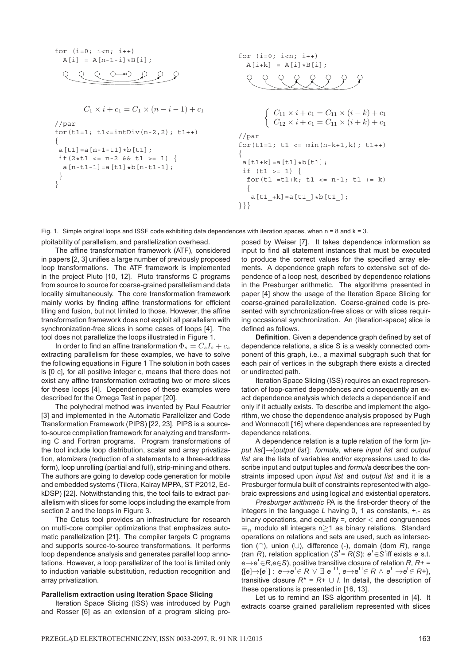$$
\begin{array}{ll}\nfor (i=0; i
$$

$$
\mathcal{L} \xrightarrow{\mathcal{L} \xrightarrow{\mathcal{L} \xrightarrow{\mathcal{L} \xrightarrow{\mathcal{L} \xrightarrow{\mathcal{L} \xrightarrow{\mathcal{L} \xrightarrow{\mathcal{L} \xrightarrow{\mathcal{L} \xrightarrow{\mathcal{L} \xrightarrow{\mathcal{L} \xrightarrow{\mathcal{L} \xrightarrow{\mathcal{L} \xrightarrow{\mathcal{L} \xrightarrow{\mathcal{L} \xrightarrow{\mathcal{L} \xrightarrow{\mathcal{L} \xrightarrow{\mathcal{L} \xrightarrow{\mathcal{L} \xrightarrow{\mathcal{L} \xrightarrow{\mathcal{L} \xrightarrow{\mathcal{L} \xrightarrow{\mathcal{L} \xrightarrow{\mathcal{L} \xrightarrow{\mathcal{L} \xrightarrow{\mathcal{L} \xrightarrow{\mathcal{L} \xrightarrow{\mathcal{L} \xrightarrow{\mathcal{L} \xrightarrow{\mathcal{L} \xrightarrow{\mathcal{L} \xrightarrow{\mathcal{L} \xrightarrow{\mathcal{L} \xrightarrow{\mathcal{L} \xrightarrow{\mathcal{L} \xrightarrow{\mathcal{L} \xrightarrow{\mathcal{L} \xrightarrow{\mathcal{L} \xrightarrow{\mathcal{L} \xrightarrow{\mathcal{L} \xrightarrow{\mathcal{L} \xrightarrow{\mathcal{L} \xrightarrow{\mathcal{L} \xrightarrow{\mathcal{L} \xrightarrow{\mathcal{L} \xrightarrow{\mathcal{L} \xrightarrow{\mathcal{L} \xrightarrow{\mathcal{L} \xrightarrow{\mathcal{L} \xrightarrow{\mathcal{L} \xrightarrow{\mathcal{L} \xrightarrow{\mathcal{L} \xrightarrow{\mathcal{L} \xrightarrow{\mathcal{L} \xrightarrow{\mathcal{L} \xrightarrow{\mathcal{L} \xrightarrow{\mathcal{L} \xrightarrow{\mathcal{L} \xrightarrow{\mathcal{L} \xrightarrow{\mathcal{L} \xrightarrow{\mathcal{L} \xrightarrow{\mathcal{L} \xrightarrow{\mathcal{L} \xrightarrow{\mathcal{L} \xrightarrow{\mathcal{L} \xrightarrow{\mathcal{L} \xrightarrow{\mathcal{L} \xrightarrow{\mathcal{L} \xrightarrow{\mathcal{L} \xrightarrow{\mathcal{L} \xrightarrow{\mathcal{L} \xrightarrow{\mathcal{L} \xrightarrow{\mathcal{L} \xrightarrow{\mathcal{L} \xrightarrow{\mathcal{L} \xrightarrow{\mathcal{L} \xrightarrow{\mathcal{L} \xrightarrow{\mathcal{L} \xrightarrow{\mathcal{L} \xrightarrow{\mathcal{L} \xrightarrow{\mathcal{L} \xrightarrow{\mathcal{L} \xrightarrow{\mathcal{L} \xrightarrow{\mathcal{L} \xrightarrow{\mathcal{
$$

```
C_1 \times i + c_1 = C_1 \times (n - i - 1) + c_1//par
for(t1=1; t1<=intDiv(n-2,2); t1++){
a[t1]=a[n-1-t1]*b[t1];if(2*t1 <= n-2 && t1 >= 1) {
  a[n-t1-1]=a[t1]*b[n-t1-1];}
}
```
for  $(i=0; i$  $A[i+k] = A[i]*B[i];$ 

 $\mathcal{L}$ 

 $\int C_{11} \times i + c_1 = C_{11} \times (i - k) + c_1$  $C_{12} \times i + c_1 = C_{11} \times (i + k) + c_1$ //par for( $t1=1$ ;  $t1 \leq \min(n-k+1,k)$ ;  $t1++$ ) {  $a[t1+k]=a[t1]*b[t1];$ if  $(t1 > = 1)$  { for(t1\_=t1+k; t1\_<= n-1; t1\_+= k) {  $a[t1 +k] = a[t1] * b[t1];$ }}}

Fig. 1. Simple original loops and ISSF code exhibiting data dependences with iteration spaces, when n = 8 and k = 3.

ploitability of parallelism, and parallelization overhead.

The affine transformation framework (ATF), considered in papers [2, 3] unifies a large number of previously proposed loop transformations. The ATF framework is implemented in the project Pluto [10, 12]. Pluto transforms C programs from source to source for coarse-grained parallelism and data locality simultaneously. The core transformation framework mainly works by finding affine transformations for efficient tiling and fusion, but not limited to those. However, the affine transformation framework does not exploit all parallelism with synchronization-free slices in some cases of loops [4]. The tool does not parallelize the loops illustrated in Figure 1.

In order to find an affine transformation  $\Phi_s = C_s I_s + c_s$ extracting parallelism for these examples, we have to solve the following equations in Figure 1 The solution in both cases is [0 c], for all positive integer c, means that there does not exist any affine transformation extracting two or more slices for these loops [4]. Dependences of these examples were described for the Omega Test in paper [20].

The polyhedral method was invented by Paul Feautrier [3] and implemented in the Automatic Parallelizer and Code Transformation Framework (PIPS) [22, 23]. PIPS is a sourceto-source compilation framework for analyzing and transforming C and Fortran programs. Program transformations of the tool include loop distribution, scalar and array privatization, atomizers (reduction of a statements to a three-address form), loop unrolling (partial and full), strip-mining and others. The authors are going to develop code generation for mobile and embedded systems (Tilera, Kalray MPPA, ST P2012, EdkDSP) [22]. Notwithstanding this, the tool fails to extract parallelism with slices for some loops including the example from section 2 and the loops in Figure 3.

The Cetus tool provides an infrastructure for research on multi-core compiler optimizations that emphasizes automatic parallelization [21]. The compiler targets C programs and supports source-to-source transformations. It performs loop dependence analysis and generates parallel loop annotations. However, a loop parallelizer of the tool is limited only to induction variable substitution, reduction recognition and array privatization.

## **Parallelism extraction using Iteration Space Slicing**

Iteration Space Slicing (ISS) was introduced by Pugh and Rosser [6] as an extension of a program slicing proposed by Weiser [7]. It takes dependence information as input to find all statement instances that must be executed to produce the correct values for the specified array elements. A dependence graph refers to extensive set of dependence of a loop nest, described by dependence relations in the Presburger arithmetic. The algorithms presented in paper [4] show the usage of the Iteration Space Slicing for coarse-grained parallelization. Coarse-grained code is presented with synchronization-free slices or with slices requiring occasional synchronization. An (iteration-space) slice is defined as follows.

**Definition**. Given a dependence graph defined by set of dependence relations, a slice S is a weakly connected component of this graph, i.e., a maximal subgraph such that for each pair of vertices in the subgraph there exists a directed or undirected path.

Iteration Space Slicing (ISS) requires an exact representation of loop-carried dependences and consequently an exact dependence analysis which detects a dependence if and only if it actually exists. To describe and implement the algorithm, we chose the dependence analysis proposed by Pugh and Wonnacott [16] where dependences are represented by dependence relations.

A dependence relation is a tuple relation of the form [*input list*]→[*output list*]: *formula*, where *input list* and *output list* are the lists of variables and/or expressions used to describe input and output tuples and *formula* describes the constraints imposed upon *input list* and *output list* and it is a Presburger formula built of constraints represented with algebraic expressions and using logical and existential operators.

*Presburger arithmetic* PA is the first-order theory of the integers in the language *L* having 0, 1 as constants, +,- as binary operations, and equality  $=$ , order  $<$  and congruences  $\equiv_n$  modulo all integers n $\geq$ 1 as binary relations. Standard operations on relations and sets are used, such as intersection (∩), union (∪), difference (-), domain (dom *R*), range (ran *R*), relation application (*S*<sup> $=$ </sup> *R*(*S*):  $e$ <sup> $\in$ </sup> *S*<sup> $\perp$ </sup> iff exists *e* s.t. *e*→*e*<sup> $\in$ </sup>∈*R*,*e*∈*S*), positive transitive closure of relation *R*, *R*+ =  ${[e] \rightarrow [e'] : e \rightarrow e' \in R \lor \exists e'', e \rightarrow e' \in R \land e' \rightarrow e' \in R^+},$ transitive closure  $R^* = R + \cup I$ . In detail, the description of these operations is presented in [16, 13].

Let us to remind an ISS algorithm presented in [4]. It extracts coarse grained parallelism represented with slices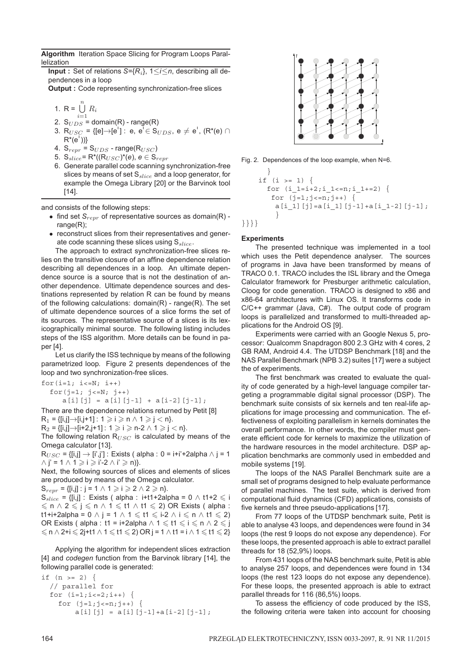**Algorithm** Iteration Space Slicing for Program Loops Parallelization

**Input :** Set of relations *S*={*R*i}, 1≤*i*≤*n*, describing all dependences in a loop

**Output :** Code representing synchronization-free slices

1. 
$$
R = \bigcup_{i=1}^{n} R_i
$$

- $i=1$ 2.  $S_{UDS}$  = domain(R) - range(R)
- 3. R<sub>USC</sub> = {[e] → [e<sup>'</sup>] : e, e<sup>'</sup>  $\in$  S<sub>UDS</sub>, e  $\neq$  e<sup>'</sup>, (R<sup>\*</sup>(e) ∩  $R^*(e')\}$
- 4.  $S_{repr} = S_{UDS}$  range(R<sub>USC</sub>)
- 5.  $S_{slice} = R^*((R_{USC})^*(e), e \in S_{repr})$
- 6. Generate parallel code scanning synchronization-free slices by means of set  $S_{slice}$  and a loop generator, for example the Omega Library [20] or the Barvinok tool [14].

and consists of the following steps:

- find set  $S_{repr}$  of representative sources as domain(R) range(R);
- reconstruct slices from their representatives and generate code scanning these slices using  $S_{slice}$ .

The approach to extract synchronization-free slices relies on the transitive closure of an affine dependence relation describing all dependences in a loop. An ultimate dependence source is a source that is not the destination of another dependence. Ultimate dependence sources and destinations represented by relation R can be found by means of the following calculations:  $domain(R)$  - range(R). The set of ultimate dependence sources of a slice forms the set of its sources. The representative source of a slices is its lexicographically minimal source. The following listing includes steps of the ISS algorithm. More details can be found in paper [4].

Let us clarify the ISS technique by means of the following parametrized loop. Figure 2 presents dependences of the loop and two synchronization-free slices.

for $(i=1; i<=N; i++)$ for $(j=1; j<=N; j++)$  $a[i][j] = a[i][j-1] + a[i-2][j-1];$ 

There are the dependence relations returned by Petit [8]  $R_1 = \{ [i,j] \rightarrow [i,j+1] : 1 \geq i \geq n \land 1 \geq j < n \}.$ 

 $R_2 = \{ [i,j] \rightarrow [i+2,j+1] : 1 \geq i \geq n-2 \land 1 \geq j < n \}.$ 

The following relation  $R_{USC}$  is calculated by means of the Omega calculator [13].

 $R_{USC} = \{ [i,j] \rightarrow [i',j'] : \text{Exists ( alpha : 0 = i+i'+2alpha] \land j = 1 \}$  $\wedge$  j' = 1  $\wedge$  1  $\geqslant$  i  $\geqslant$  i'-2  $\wedge$  i'  $\geqslant$  n)}.

Next, the following sources of slices and elements of slices are produced by means of the Omega calculator.

 $S_{repr} = \{ [i,j] : j = 1 \land 1 \geq i \geq 2 \land 2 \geq n \}.$ 

 $S_{slice}$  = {[i,j] : Exists ( alpha : i+t1+2alpha = 0  $\land$  t1+2  $\leq$  i  $\leqslant n \wedge 2 \leqslant j \leqslant n \wedge 1 \leqslant t1 \wedge t1 \leqslant 2$ ) OR Exists ( alpha : t1+i+2alpha =  $0 \wedge j = 1 \wedge 1 \leq t1 \leq i-2 \wedge i \leq n \wedge t1 \leq 2$ ) OR Exists ( alpha : t1 = i+2alpha  $\land$  1  $\leq$  t1  $\leq$  i  $\leq$  n  $\land$  2  $\leq$  j  $\leq n \wedge 2 + i \leq 2$ j+t1  $\wedge$  1  $\leq$  t1  $\leq$  2) OR j = 1  $\wedge$  t1 = i $\wedge$  1  $\leq$  t1  $\leq$  2}

Applying the algorithm for independent slices extraction [4] and *codegen* function from the Barvinok library [14], the following parallel code is generated:

```
if (n > = 2) {
  // parallel for
  for (i=1; i<=2; i++) {
    for (j=1; j<=n; j++) {
        a[i][j] = a[i][j-1] + a[i-2][j-1];
```


Fig. 2. Dependences of the loop example, when N=6.

```
}
    if (i > = 1) {
      for (i_1=i+2;i_1=i)=n;i_1+i=2) {
       for (j=1; j<=n; j++) {
        a[i_1][j]=a[i_1][j-1]+a[i_1-2][j-1];
        }
}}}}
```
## **Experiments**

The presented technique was implemented in a tool which uses the Petit dependence analyser. The sources of programs in Java have been transformed by means of TRACO 0.1. TRACO includes the ISL library and the Omega Calculator framework for Presburger arithmetic calculation, Cloog for code generation. TRACO is designed to x86 and x86-64 architectures with Linux OS. It transforms code in C/C++ grammar (Java, C#). The output code of program loops is parallelized and transformed to multi-threaded applications for the Android OS [9].

Experiments were carried with an Google Nexus 5, processor: Qualcomm Snapdragon 800 2.3 GHz with 4 cores, 2 GB RAM, Android 4.4. The UTDSP Benchmark [18] and the NAS Parallel Benchmark (NPB 3.2) suites [17] were a subject the of experiments.

The first benchmark was created to evaluate the quality of code generated by a high-level language compiler targeting a programmable digital signal processor (DSP). The benchmark suite consists of six kernels and ten real-life applications for image processing and communication. The effectiveness of exploiting parallelism in kernels dominates the overall performance. In other words, the compiler must generate efficient code for kernels to maximize the utilization of the hardware resources in the model architecture. DSP application benchmarks are commonly used in embedded and mobile systems [19].

The loops of the NAS Parallel Benchmark suite are a small set of programs designed to help evaluate performance of parallel machines. The test suite, which is derived from computational fluid dynamics (CFD) applications, consists of five kernels and three pseudo-applications [17].

From 77 loops of the UTDSP benchmark suite, Petit is able to analyse 43 loops, and dependences were found in 34 loops (the rest 9 loops do not expose any dependence). For these loops, the presented approach is able to extract parallel threads for 18 (52,9%) loops.

From 431 loops of the NAS benchmark suite, Petit is able to analyse 257 loops, and dependences were found in 134 loops (the rest 123 loops do not expose any dependence). For these loops, the presented approach is able to extract parallel threads for 116 (86,5%) loops.

To assess the efficiency of code produced by the ISS, the following criteria were taken into account for choosing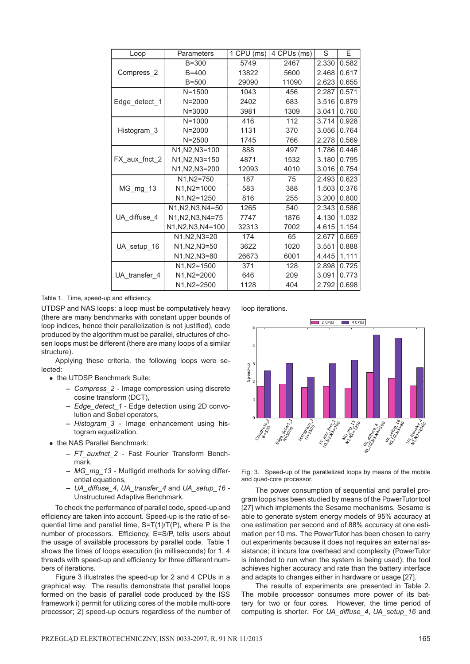| Loop          | Parameters         | 1 CPU (ms) | 4 CPUs (ms) | S     | F     |
|---------------|--------------------|------------|-------------|-------|-------|
| Compress_2    | $B = 300$          | 5749       | 2467        | 2.330 | 0.582 |
|               | $B = 400$          | 13822      | 5600        | 2.468 | 0.617 |
|               | $B=500$            | 29090      | 11090       | 2.623 | 0.655 |
| Edge_detect_1 | $N = 1500$         | 1043       | 456         | 2.287 | 0.571 |
|               | $N = 2000$         | 2402       | 683         | 3.516 | 0.879 |
|               | $N = 3000$         | 3981       | 1309        | 3.041 | 0.760 |
| Histogram 3   | $N = 1000$         | 416        | 112         | 3.714 | 0.928 |
|               | $N = 2000$         | 1131       | 370         | 3.056 | 0.764 |
|               | $N = 2500$         | 1745       | 766         | 2.278 | 0.569 |
|               | N1, N2, N3=100     | 888        | 497         | 1.786 | 0.446 |
| FX_aux_fnct_2 | N1.N2.N3=150       | 4871       | 1532        | 3.180 | 0.795 |
|               | N1, N2, N3=200     | 12093      | 4010        | 3.016 | 0.754 |
| $MG_mg_13$    | N1, N2=750         | 187        | 75          | 2.493 | 0.623 |
|               | N1, N2=1000        | 583        | 388         | 1.503 | 0.376 |
|               | N1.N2=1250         | 816        | 255         | 3.200 | 0.800 |
| UA diffuse 4  | N1.N2.N3.N4=50     | 1265       | 540         | 2.343 | 0.586 |
|               | N1, N2, N3, N4=75  | 7747       | 1876        | 4.130 | 1.032 |
|               | N1, N2, N3, N4=100 | 32313      | 7002        | 4.615 | 1.154 |
| UA_setup_16   | N1.N2.N3=20        | 174        | 65          | 2.677 | 0.669 |
|               | N1, N2, N3=50      | 3622       | 1020        | 3.551 | 0.888 |
|               | N1, N2, N3=80      | 26673      | 6001        | 4.445 | 1.111 |
| UA transfer 4 | N1.N2=1500         | 371        | 128         | 2.898 | 0.725 |
|               | N1, N2=2000        | 646        | 209         | 3.091 | 0.773 |
|               | N1.N2=2500         | 1128       | 404         | 2.792 | 0.698 |

Table 1. Time, speed-up and efficiency.

UTDSP and NAS loops: a loop must be computatively heavy (there are many benchmarks with constant upper bounds of loop indices, hence their parallelization is not justified), code produced by the algorithm must be parallel, structures of chosen loops must be different (there are many loops of a similar structure).

Applying these criteria, the following loops were selected:

- the UTDSP Benchmark Suite:
	- **–** *Compress\_2* Image compression using discrete cosine transform (DCT),
	- **–** *Edge\_detect\_1* Edge detection using 2D convolution and Sobel operators,
	- **–** *Histogram\_3* Image enhancement using histogram equalization.
- the NAS Parallel Benchmark:
	- **–** *FT\_auxfnct\_2* Fast Fourier Transform Benchmark,
	- **–** *MG\_mg\_13* Multigrid methods for solving differential equations,
	- **–** *UA\_diffuse\_4*, *UA\_transfer\_4* and *UA\_setup\_16* Unstructured Adaptive Benchmark.

To check the performance of parallel code, speed-up and efficiency are taken into account. Speed-up is the ratio of sequential time and parallel time, S=T(1)/T(P), where P is the number of processors. Efficiency, E=S/P, tells users about the usage of available processors by parallel code. Table 1 shows the times of loops execution (in milliseconds) for 1, 4 threads with speed-up and efficiency for three different numbers of iterations.

Figure 3 illustrates the speed-up for 2 and 4 CPUs in a graphical way. The results demonstrate that parallel loops formed on the basis of parallel code produced by the ISS framework i) permit for utilizing cores of the mobile multi-core processor; 2) speed-up occurs regardless of the number of loop iterations.



Fig. 3. Speed-up of the parallelized loops by means of the mobile and quad-core processor.

The power consumption of sequential and parallel program loops has been studied by means of the PowerTutor tool [27] which implements the Sesame mechanisms. Sesame is able to generate system energy models of 95% accuracy at one estimation per second and of 88% accuracy at one estimation per 10 ms. The PowerTutor has been chosen to carry out experiments because it does not requires an external assistance; it incurs low overhead and complexity (PowerTutor is intended to run when the system is being used); the tool achieves higher accuracy and rate than the battery interface and adapts to changes either in hardware or usage [27].

The results of experiments are presented in Table 2. The mobile processor consumes more power of its battery for two or four cores. However, the time period of computing is shorter. For *UA\_diffuse\_4*, *UA\_setup\_16* and